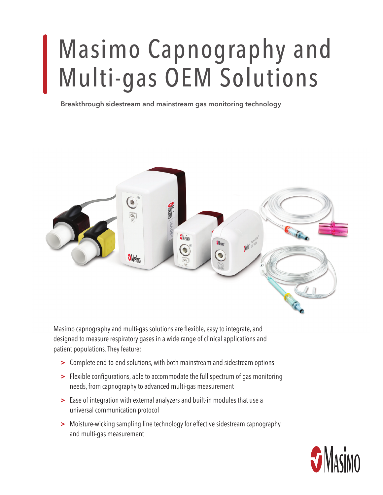# Masimo Capnography and Multi-gas OEM Solutions

**Breakthrough sidestream and mainstream gas monitoring technology**



Masimo capnography and multi-gas solutions are flexible, easy to integrate, and designed to measure respiratory gases in a wide range of clinical applications and patient populations. They feature:

- **>** Complete end-to-end solutions, with both mainstream and sidestream options
- **>** Flexible configurations, able to accommodate the full spectrum of gas monitoring needs, from capnography to advanced multi-gas measurement
- **>** Ease of integration with external analyzers and built-in modules that use a universal communication protocol
- **>** Moisture-wicking sampling line technology for effective sidestream capnography and multi-gas measurement

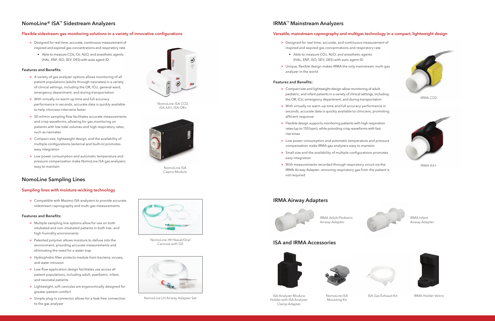- **>** Designed for real-time, accurate, continuous measurement of inspired and expired gas concentrations and respiratory rate
	- **•** Able to measure CO2, O2, N2O, and anesthetic agents (HAL, ENF, ISO, SEV, DES) with auto agent-ID

#### **Features and Benefits:**

- **>** A variety of gas analyzer options allows monitoring of all patient populations (adults through neonates) in a variety of clinical settings, including the OR, ICU, general ward, emergency department, and during transportation
- **>** With virtually no warm-up time and full accuracy performance in seconds, accurate data is quickly available to help clinicians intervene faster
- **>** 50 ml/min sampling flow facilitates accurate measurements and crisp waveforms, allowing for gas monitoring on patients with low tidal volumes and high respiratory rates, such as neonates
- **>** Compact size, lightweight design, and the availability of multiple configurations (external and built-in) promotes easy integration
- **>** Low power consumption and automatic temperature and pressure compensation make NomoLine ISA gas analyzers easy to maintain

# **IRMA™ Mainstream Analyzers**

## **Flexible sidestream gas monitoring solutions in a variety of innovative configurations** *Plexible* **and mainstream capnography and multigas technology in a compact, lightweight design**

# **NomoLine Sampling Lines**

**>** Compatible with Masimo ISA analyzers to provide accurate sidestream capnography and multi-gas measurements

#### **Features and Benefits:**

- **>** Multiple sampling line options allow for use on both intubated and non-intubated patients in both low- and high-humidity environments
- **>** Patented polymer allows moisture to defuse into the environment, providing accurate measurements and eliminating the need for a water trap
- > Hydrophobic filter protects module from bacteria, viruses, and water intrusion
- **>** Low-flow application design facilitates use across all patient populations, including adult, paediatric, infant, and neonatal patients
- **>** Lightweight, soft cannulas are ergonomically designed for greater patient comfort
- **>** Simple plug-in connector allows for a leak-free connection to the gas analyzer

### **Sampling lines with moisture-wicking technology**



Holder with ISA Analyzer Clamp Adapter

IRMA Adult/Pediatric Airway Adapter

IRMA Infant Airway Adapter



NomoLine ISA CO2,



NomoLine ISA Capno Module



# **ISA and IRMA Accessories**



# **NomoLine® ISA™ Sidestream Analyzers**

NomoLine ISA Mounting Kit

ISA Gas Exhaust Kit



ISA Analyzer Modura **ISA** NomoLine ISA **ISA Gas Exhaust Kit** IRMA Holder Velcro

IRMA CO2



IRMA AX+



- **>** Designed for real-time, accurate, and continuous measurement of inspired and expired gas concentrations and respiratory rate
	- **•** Able to measure CO2, N2O, and anesthetic agents (HAL, ENF, ISO, SEV, DES) with auto agent-ID
- > Unique, flexible design makes IRMA the only mainstream multi-gas analyzer in the world

#### **Features and Benefits:**

- **>** Compact size and lightweight design allow monitoring of adult, pediatric, and infant patients in a variety of clinical settings, including the OR, ICU, emergency department, and during transportation
- **>** With virtually no warm-up time and full accuracy performance in seconds, accurate data is quickly available to clinicians, promoting efficient response
- **>** Flexible design supports monitoring patients with high respiration rates (up to 150 bpm), while providing crisp waveforms with fast rise times
- **>** Low power consumption and automatic temperature and pressure compensation make IRMA gas analyzers easy to maintain
- **>** Small size and the availability of multiple configurations promotes easy integration
- **>** With measurements recorded through respiratory circuit via the IRMA Airway Adapter, removing respiratory gas from the patient is not required

# **IRMA Airway Adapters**





NomoLine HH Nasal/Oral Cannula with O2



NomoLine LH Airway Adapter Set